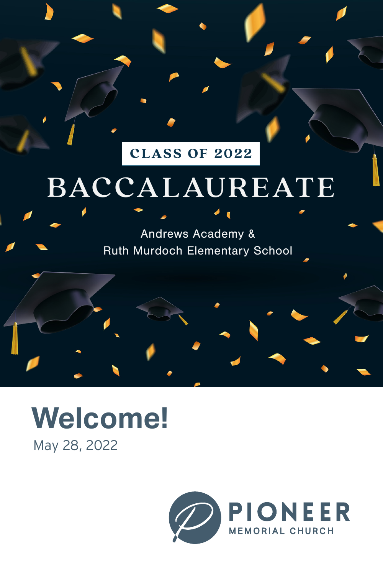# **CLASS OF 2022**

# BACCALAUREATE

Andrews Academy & Ruth Murdoch Elementary School

# May 28, 2022 **Welcome!**

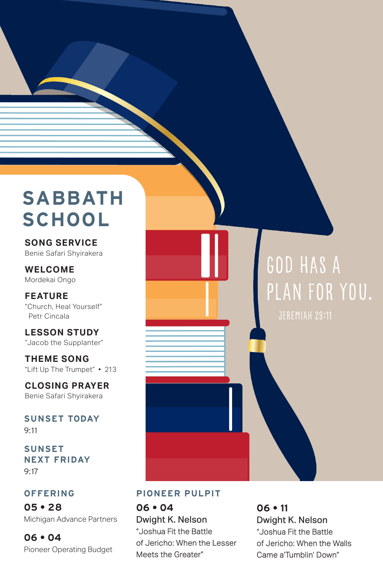# **SABBATH SCHOOL**

**SONG SERVICE**  Benie Safari Shyirakera

**WELCOME**  Mordekai Ongo

**FEATURE** "Church, Heal Yourself" Petr Cincala

**LESSON STUDY**  "Jacob the Supplanter"

**THEME SONG** "Lift Up The Trumpet" • 213

**CLOSING PRAYER** Benie Safari Shyirakera

**SUNSET TODAY** 9:11

**SUNSET NEXT FRIDAY** 9:17

#### **OFFERING**

**05 • 28** Michigan Advance Partners

**06 • 04** Pioneer Operating Budget

# God has a plan for you.

#### **PIONEER PULPIT**

**06 • 04** Dwight K. Nelson "Joshua Fit the Battle of Jericho: When the Lesser Meets the Greater"

**06 • 11** Dwight K. Nelson "Joshua Fit the Battle of Jericho: When the Walls Came a'Tumblin' Down"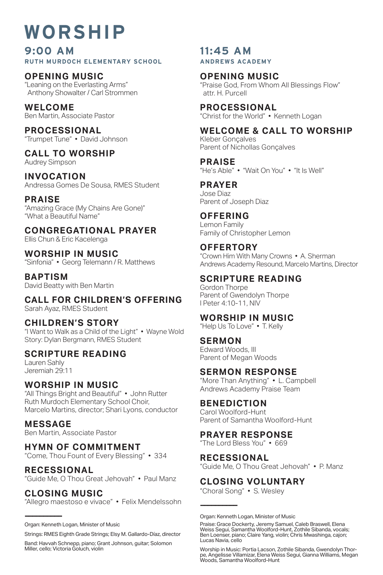# **WORSHIP**

**9:00 AM RUTH MURDOCH ELEMENTARY SCHOOL**

**OPENING MUSIC** "Leaning on the Everlasting Arms" Anthony Showalter / Carl Strommen

**WELCOME** Ben Martin, Associate Pastor

**PROCESSIONAL** "Trumpet Tune" • David Johnson

**CALL TO WORSHIP** Audrey Simpson

**INVOCATION** Andressa Gomes De Sousa, RMES Student

**PRAISE** "Amazing Grace (My Chains Are Gone)" "What a Beautiful Name"

**CONGREGATIONAL PRAYER** Ellis Chun & Eric Kacelenga

**WORSHIP IN MUSIC** "Sinfonia" • Georg Telemann / R. Matthews

**BAPTISM** David Beatty with Ben Martin

**CALL FOR CHILDREN'S OFFERING** Sarah Ayaz, RMES Student

**CHILDREN'S STORY** "I Want to Walk as a Child of the Light" • Wayne Wold Story: Dylan Bergmann, RMES Student

#### **SCRIPTURE READING**

Lauren Sahly Jeremiah 29:11

#### **WORSHIP IN MUSIC**

"All Things Bright and Beautiful" • John Rutter Ruth Murdoch Elementary School Choir, Marcelo Martins, director; Shari Lyons, conductor

**MESSAGE**

Ben Martin, Associate Pastor

#### **HYMN OF COMMITMENT**

"Come, Thou Fount of Every Blessing" • 334

**RECESSIONAL** "Guide Me, O Thou Great Jehovah" • Paul Manz

**CLOSING MUSIC**

**——————————**

"Allegro maestoso e vivace" • Felix Mendelssohn

Strings: RMES Eighth Grade Strings; Elsy M. Gallardo-Díaz, director

Band: Havvah Schnepp, piano; Grant Johnson, guitar; Solomon Miller, cello; Victoria Goluch, violin

#### **11:45 AM ANDREWS ACADEMY**

**OPENING MUSIC** "Praise God, From Whom All Blessings Flow" attr. H. Purcell

**PROCESSIONAL** "Christ for the World" • Kenneth Logan

**WELCOME & CALL TO WORSHIP**

Kleber Gonçalves Parent of Nichollas Gonçalves

**PRAISE** "He's Able" • "Wait On You" • "It Is Well"

**PRAYER** Jose Diaz Parent of Joseph Diaz

#### **OFFERING** Lemon Family

Family of Christopher Lemon

#### **OFFERTORY**

"Crown Him With Many Crowns • A. Sherman Andrews Academy Resound, Marcelo Martins, Director

#### **SCRIPTURE READING**

Gordon Thorpe Parent of Gwendolyn Thorpe I Peter 4:10-11, NIV

#### **WORSHIP IN MUSIC**

"Help Us To Love" • T. Kelly

**SERMON**

Edward Woods, III Parent of Megan Woods

#### **SERMON RESPONSE**

"More Than Anything" • L. Campbell Andrews Academy Praise Team

#### **BENEDICTION**

Carol Woolford-Hunt Parent of Samantha Woolford-Hunt

#### **PRAYER RESPONSE**

"The Lord Bless You" • 669

#### **RECESSIONAL**

**——————————**

"Guide Me, O Thou Great Jehovah" • P. Manz

#### **CLOSING VOLUNTARY**

"Choral Song" • S. Wesley

Organ: Kenneth Logan, Minister of Music

Organ: Kenneth Logan, Minister of Music

Praise: Grace Dockerty, Jeremy Samuel, Caleb Braswell, Elena<br>Weiss Segui, Samantha Woolford-Hunt, Zothile Sibanda, vocals;<br>Ben Loenser, piano; Claire Yang, violin; Chris Mwashinga, cajon; Lucas Navia, cello

Worship in Music: Portia Lacson, Zothile Sibanda, Gwendolyn Thorpe, Angelisse Villamizar, Elena Weiss Segui, Gianna Williams, Megan Woods, Samantha Woolford-Hunt